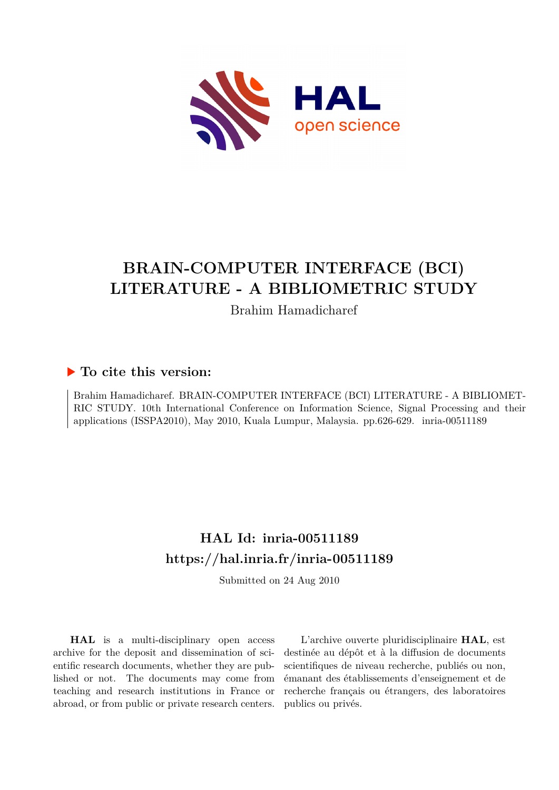

# **BRAIN-COMPUTER INTERFACE (BCI) LITERATURE - A BIBLIOMETRIC STUDY**

Brahim Hamadicharef

### **To cite this version:**

Brahim Hamadicharef. BRAIN-COMPUTER INTERFACE (BCI) LITERATURE - A BIBLIOMET-RIC STUDY. 10th International Conference on Information Science, Signal Processing and their applications (ISSPA2010), May 2010, Kuala Lumpur, Malaysia. pp.626-629. inria-00511189

## **HAL Id: inria-00511189 <https://hal.inria.fr/inria-00511189>**

Submitted on 24 Aug 2010

**HAL** is a multi-disciplinary open access archive for the deposit and dissemination of scientific research documents, whether they are published or not. The documents may come from teaching and research institutions in France or abroad, or from public or private research centers.

L'archive ouverte pluridisciplinaire **HAL**, est destinée au dépôt et à la diffusion de documents scientifiques de niveau recherche, publiés ou non, émanant des établissements d'enseignement et de recherche français ou étrangers, des laboratoires publics ou privés.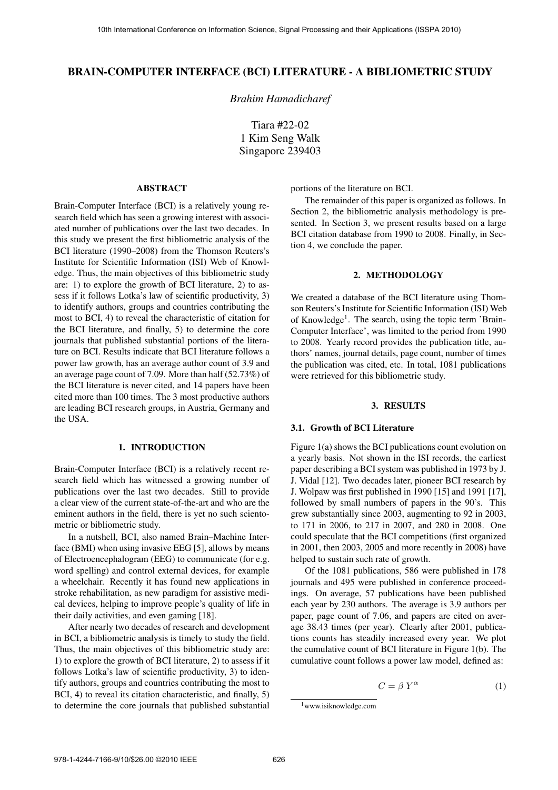#### **BRAIN-COMPUTER INTERFACE (BCI) LITERATURE - A BIBLIOMETRIC STUDY**

*Brahim Hamadicharef*

Tiara #22-02 1 Kim Seng Walk Singapore 239403

#### **ABSTRACT**

Brain-Computer Interface (BCI) is a relatively young research field which has seen a growing interest with associated number of publications over the last two decades. In this study we present the first bibliometric analysis of the BCI literature (1990–2008) from the Thomson Reuters's Institute for Scientific Information (ISI) Web of Knowledge. Thus, the main objectives of this bibliometric study are: 1) to explore the growth of BCI literature, 2) to assess if it follows Lotka's law of scientific productivity, 3) to identify authors, groups and countries contributing the most to BCI, 4) to reveal the characteristic of citation for the BCI literature, and finally, 5) to determine the core journals that published substantial portions of the literature on BCI. Results indicate that BCI literature follows a power law growth, has an average author count of 3.9 and an average page count of 7.09. More than half (52.73%) of the BCI literature is never cited, and 14 papers have been cited more than 100 times. The 3 most productive authors are leading BCI research groups, in Austria, Germany and the USA.

#### **1. INTRODUCTION**

Brain-Computer Interface (BCI) is a relatively recent research field which has witnessed a growing number of publications over the last two decades. Still to provide a clear view of the current state-of-the-art and who are the eminent authors in the field, there is yet no such scientometric or bibliometric study.

In a nutshell, BCI, also named Brain–Machine Interface (BMI) when using invasive EEG [5], allows by means of Electroencephalogram (EEG) to communicate (for e.g. word spelling) and control external devices, for example a wheelchair. Recently it has found new applications in stroke rehabilitation, as new paradigm for assistive medical devices, helping to improve people's quality of life in their daily activities, and even gaming [18].

After nearly two decades of research and development in BCI, a bibliometric analysis is timely to study the field. Thus, the main objectives of this bibliometric study are: 1) to explore the growth of BCI literature, 2) to assess if it follows Lotka's law of scientific productivity, 3) to identify authors, groups and countries contributing the most to BCI, 4) to reveal its citation characteristic, and finally, 5) to determine the core journals that published substantial

portions of the literature on BCI.

The remainder of this paper is organized as follows. In Section 2, the bibliometric analysis methodology is presented. In Section 3, we present results based on a large BCI citation database from 1990 to 2008. Finally, in Section 4, we conclude the paper.

#### **2. METHODOLOGY**

We created a database of the BCI literature using Thomson Reuters's Institute for Scientific Information (ISI) Web of Knowledge<sup>1</sup>. The search, using the topic term 'Brain-Computer Interface', was limited to the period from 1990 to 2008. Yearly record provides the publication title, authors' names, journal details, page count, number of times the publication was cited, etc. In total, 1081 publications were retrieved for this bibliometric study.

#### **3. RESULTS**

#### **3.1. Growth of BCI Literature**

Figure 1(a) shows the BCI publications count evolution on a yearly basis. Not shown in the ISI records, the earliest paper describing a BCI system was published in 1973 by J. J. Vidal [12]. Two decades later, pioneer BCI research by J. Wolpaw was first published in 1990 [15] and 1991 [17], followed by small numbers of papers in the 90's. This grew substantially since 2003, augmenting to 92 in 2003, to 171 in 2006, to 217 in 2007, and 280 in 2008. One could speculate that the BCI competitions (first organized in 2001, then 2003, 2005 and more recently in 2008) have helped to sustain such rate of growth.

Of the 1081 publications, 586 were published in 178 journals and 495 were published in conference proceedings. On average, 57 publications have been published each year by 230 authors. The average is 3.9 authors per paper, page count of 7.06, and papers are cited on average 38.43 times (per year). Clearly after 2001, publications counts has steadily increased every year. We plot the cumulative count of BCI literature in Figure 1(b). The cumulative count follows a power law model, defined as:

$$
C = \beta Y^{\alpha} \tag{1}
$$

<sup>1</sup>www.isiknowledge.com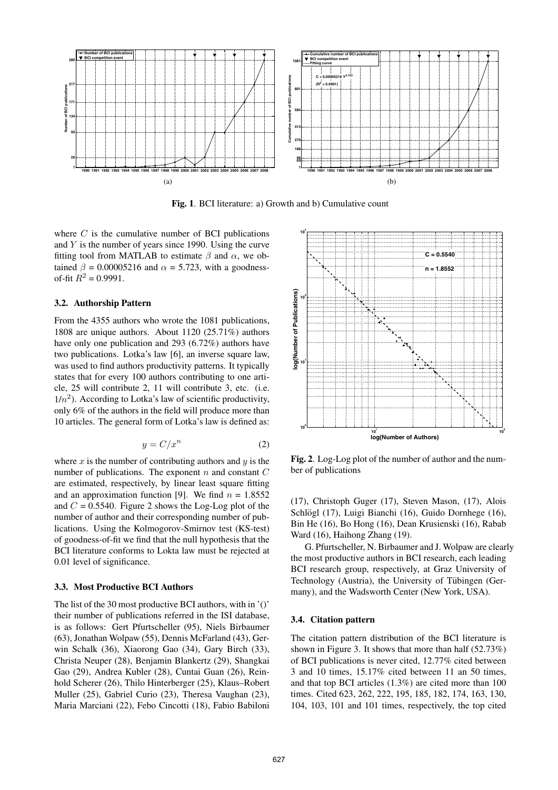

**Fig. 1**. BCI literature: a) Growth and b) Cumulative count

where  $C$  is the cumulative number of BCI publications and Y is the number of years since 1990. Using the curve fitting tool from MATLAB to estimate  $\beta$  and  $\alpha$ , we obtained  $\beta = 0.00005216$  and  $\alpha = 5.723$ , with a goodnessof-fit  $R^2 = 0.9991$ .

#### **3.2. Authorship Pattern**

From the 4355 authors who wrote the 1081 publications, 1808 are unique authors. About 1120 (25.71%) authors have only one publication and 293 (6.72%) authors have two publications. Lotka's law [6], an inverse square law, was used to find authors productivity patterns. It typically states that for every 100 authors contributing to one article, 25 will contribute 2, 11 will contribute 3, etc. (i.e.  $1/n<sup>2</sup>$ ). According to Lotka's law of scientific productivity, only 6% of the authors in the field will produce more than 10 articles. The general form of Lotka's law is defined as:

$$
y = C/x^n \tag{2}
$$

where  $x$  is the number of contributing authors and  $y$  is the number of publications. The exponent  $n$  and constant  $C$ are estimated, respectively, by linear least square fitting and an approximation function [9]. We find  $n = 1.8552$ and  $C = 0.5540$ . Figure 2 shows the Log-Log plot of the number of author and their corresponding number of publications. Using the Kolmogorov-Smirnov test (KS-test) of goodness-of-fit we find that the null hypothesis that the BCI literature conforms to Lokta law must be rejected at 0.01 level of significance.

#### **3.3. Most Productive BCI Authors**

The list of the 30 most productive BCI authors, with in '()' their number of publications referred in the ISI database, is as follows: Gert Pfurtscheller (95), Niels Birbaumer (63), Jonathan Wolpaw (55), Dennis McFarland (43), Gerwin Schalk (36), Xiaorong Gao (34), Gary Birch (33), Christa Neuper (28), Benjamin Blankertz (29), Shangkai Gao (29), Andrea Kubler (28), Cuntai Guan (26), Reinhold Scherer (26), Thilo Hinterberger (25), Klaus–Robert Muller (25), Gabriel Curio (23), Theresa Vaughan (23), Maria Marciani (22), Febo Cincotti (18), Fabio Babiloni



**Fig. 2**. Log-Log plot of the number of author and the number of publications

(17), Christoph Guger (17), Steven Mason, (17), Alois Schlögl (17), Luigi Bianchi (16), Guido Dornhege (16), Bin He (16), Bo Hong (16), Dean Krusienski (16), Rabab Ward (16), Haihong Zhang (19).

G. Pfurtscheller, N. Birbaumer and J. Wolpaw are clearly the most productive authors in BCI research, each leading BCI research group, respectively, at Graz University of Technology (Austria), the University of Tübingen (Germany), and the Wadsworth Center (New York, USA).

#### **3.4. Citation pattern**

The citation pattern distribution of the BCI literature is shown in Figure 3. It shows that more than half (52.73%) of BCI publications is never cited, 12.77% cited between 3 and 10 times, 15.17% cited between 11 an 50 times, and that top BCI articles (1.3%) are cited more than 100 times. Cited 623, 262, 222, 195, 185, 182, 174, 163, 130, 104, 103, 101 and 101 times, respectively, the top cited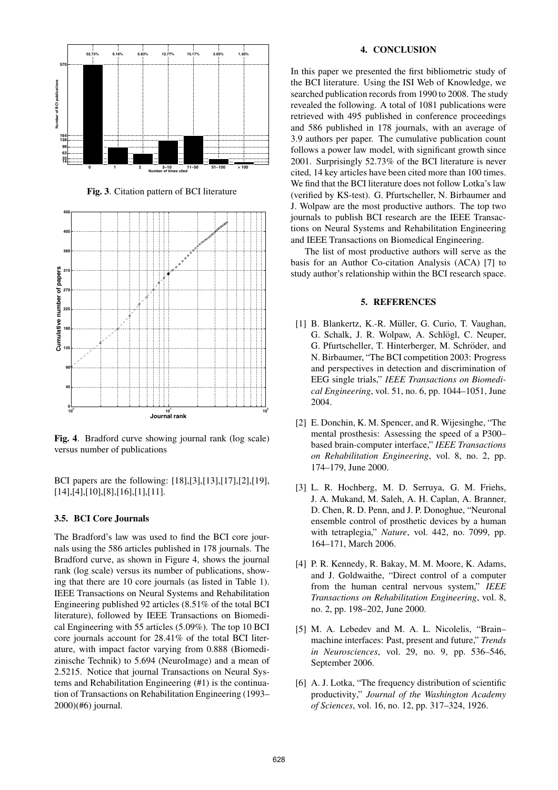

**Fig. 3**. Citation pattern of BCI literature



**Fig. 4**. Bradford curve showing journal rank (log scale) versus number of publications

BCI papers are the following: [18],[3],[13],[17],[2],[19], [14],[4],[10],[8],[16],[1],[11].

#### **3.5. BCI Core Journals**

The Bradford's law was used to find the BCI core journals using the 586 articles published in 178 journals. The Bradford curve, as shown in Figure 4, shows the journal rank (log scale) versus its number of publications, showing that there are 10 core journals (as listed in Table 1). IEEE Transactions on Neural Systems and Rehabilitation Engineering published 92 articles (8.51% of the total BCI literature), followed by IEEE Transactions on Biomedical Engineering with 55 articles (5.09%). The top 10 BCI core journals account for 28.41% of the total BCI literature, with impact factor varying from 0.888 (Biomedizinische Technik) to 5.694 (NeuroImage) and a mean of 2.5215. Notice that journal Transactions on Neural Systems and Rehabilitation Engineering (#1) is the continuation of Transactions on Rehabilitation Engineering (1993– 2000)(#6) journal.

#### **4. CONCLUSION**

In this paper we presented the first bibliometric study of the BCI literature. Using the ISI Web of Knowledge, we searched publication records from 1990 to 2008. The study revealed the following. A total of 1081 publications were retrieved with 495 published in conference proceedings and 586 published in 178 journals, with an average of 3.9 authors per paper. The cumulative publication count follows a power law model, with significant growth since 2001. Surprisingly 52.73% of the BCI literature is never cited, 14 key articles have been cited more than 100 times. We find that the BCI literature does not follow Lotka's law (verified by KS-test). G. Pfurtscheller, N. Birbaumer and J. Wolpaw are the most productive authors. The top two journals to publish BCI research are the IEEE Transactions on Neural Systems and Rehabilitation Engineering and IEEE Transactions on Biomedical Engineering.

The list of most productive authors will serve as the basis for an Author Co-citation Analysis (ACA) [7] to study author's relationship within the BCI research space.

#### **5. REFERENCES**

- [1] B. Blankertz, K.-R. Müller, G. Curio, T. Vaughan, G. Schalk, J. R. Wolpaw, A. Schlögl, C. Neuper, G. Pfurtscheller, T. Hinterberger, M. Schröder, and N. Birbaumer, "The BCI competition 2003: Progress and perspectives in detection and discrimination of EEG single trials," *IEEE Transactions on Biomedical Engineering*, vol. 51, no. 6, pp. 1044–1051, June 2004.
- [2] E. Donchin, K. M. Spencer, and R. Wijesinghe, "The mental prosthesis: Assessing the speed of a P300– based brain-computer interface," *IEEE Transactions on Rehabilitation Engineering*, vol. 8, no. 2, pp. 174–179, June 2000.
- [3] L. R. Hochberg, M. D. Serruya, G. M. Friehs, J. A. Mukand, M. Saleh, A. H. Caplan, A. Branner, D. Chen, R. D. Penn, and J. P. Donoghue, "Neuronal ensemble control of prosthetic devices by a human with tetraplegia," *Nature*, vol. 442, no. 7099, pp. 164–171, March 2006.
- [4] P. R. Kennedy, R. Bakay, M. M. Moore, K. Adams, and J. Goldwaithe, "Direct control of a computer from the human central nervous system," *IEEE Transactions on Rehabilitation Engineering*, vol. 8, no. 2, pp. 198–202, June 2000.
- [5] M. A. Lebedev and M. A. L. Nicolelis, "Brain– machine interfaces: Past, present and future," *Trends in Neurosciences*, vol. 29, no. 9, pp. 536–546, September 2006.
- [6] A. J. Lotka, "The frequency distribution of scientific productivity," *Journal of the Washington Academy of Sciences*, vol. 16, no. 12, pp. 317–324, 1926.